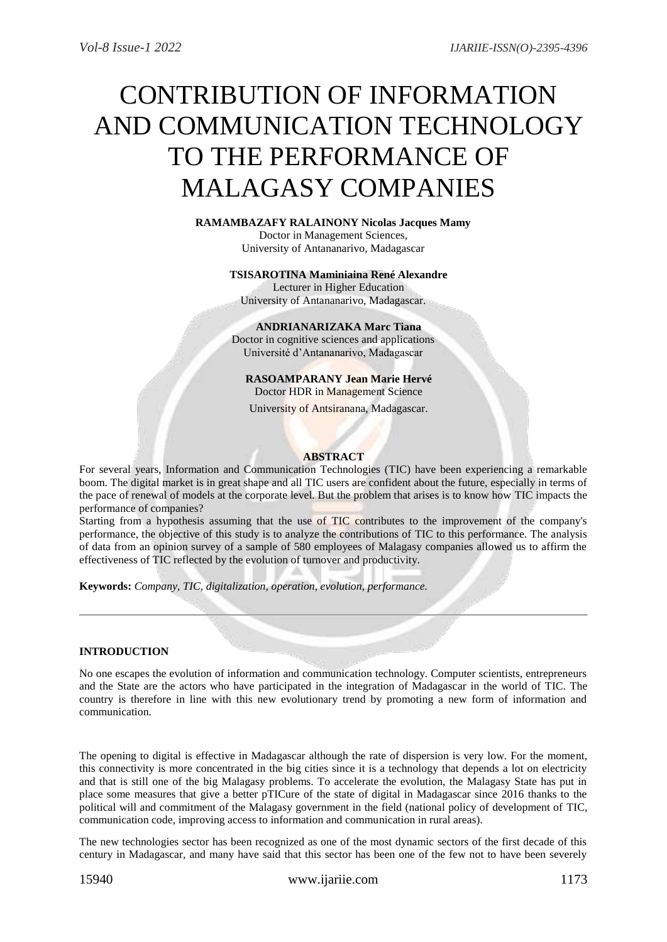# CONTRIBUTION OF INFORMATION AND COMMUNICATION TECHNOLOGY TO THE PERFORMANCE OF MALAGASY COMPANIES

**RAMAMBAZAFY RALAINONY Nicolas Jacques Mamy** Doctor in Management Sciences, University of Antananarivo, Madagascar

> **TSISAROTINA Maminiaina René Alexandre** Lecturer in Higher Education University of Antananarivo, Madagascar.

**ANDRIANARIZAKA Marc Tiana** Doctor in cognitive sciences and applications Université d'Antananarivo, Madagascar

**RASOAMPARANY Jean Marie Hervé** Doctor HDR in Management Science

University of Antsiranana, Madagascar.

#### **ABSTRACT**

For several years, Information and Communication Technologies (TIC) have been experiencing a remarkable boom. The digital market is in great shape and all TIC users are confident about the future, especially in terms of the pace of renewal of models at the corporate level. But the problem that arises is to know how TIC impacts the performance of companies?

Starting from a hypothesis assuming that the use of TIC contributes to the improvement of the company's performance, the objective of this study is to analyze the contributions of TIC to this performance. The analysis of data from an opinion survey of a sample of 580 employees of Malagasy companies allowed us to affirm the effectiveness of TIC reflected by the evolution of turnover and productivity.

**Keywords:** *Company, TIC, digitalization, operation, evolution, performance.*

## **INTRODUCTION**

No one escapes the evolution of information and communication technology. Computer scientists, entrepreneurs and the State are the actors who have participated in the integration of Madagascar in the world of TIC. The country is therefore in line with this new evolutionary trend by promoting a new form of information and communication.

The opening to digital is effective in Madagascar although the rate of dispersion is very low. For the moment, this connectivity is more concentrated in the big cities since it is a technology that depends a lot on electricity and that is still one of the big Malagasy problems. To accelerate the evolution, the Malagasy State has put in place some measures that give a better pTICure of the state of digital in Madagascar since 2016 thanks to the political will and commitment of the Malagasy government in the field (national policy of development of TIC, communication code, improving access to information and communication in rural areas).

The new technologies sector has been recognized as one of the most dynamic sectors of the first decade of this century in Madagascar, and many have said that this sector has been one of the few not to have been severely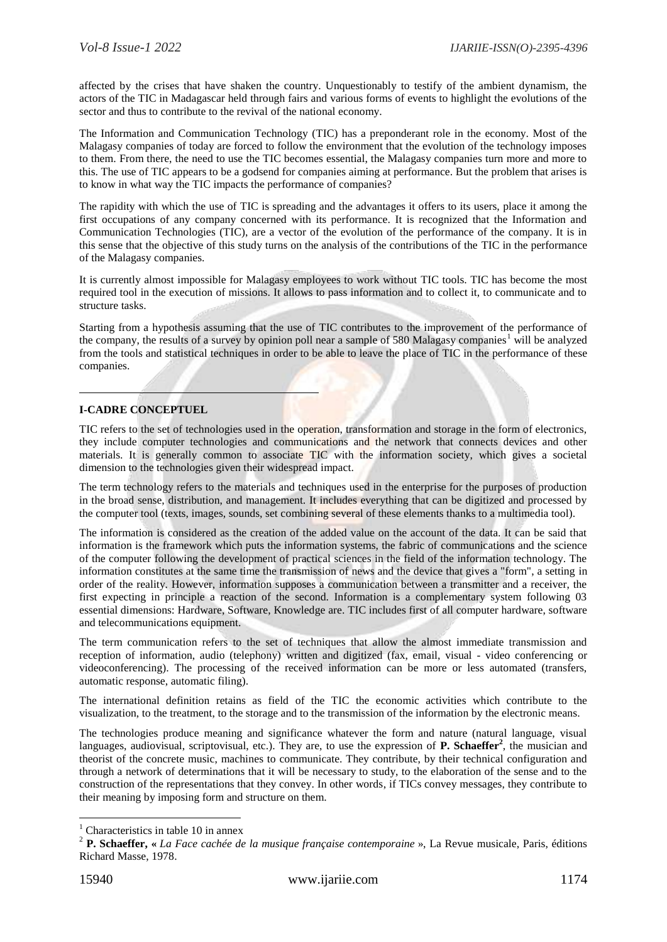affected by the crises that have shaken the country. Unquestionably to testify of the ambient dynamism, the actors of the TIC in Madagascar held through fairs and various forms of events to highlight the evolutions of the sector and thus to contribute to the revival of the national economy.

The Information and Communication Technology (TIC) has a preponderant role in the economy. Most of the Malagasy companies of today are forced to follow the environment that the evolution of the technology imposes to them. From there, the need to use the TIC becomes essential, the Malagasy companies turn more and more to this. The use of TIC appears to be a godsend for companies aiming at performance. But the problem that arises is to know in what way the TIC impacts the performance of companies?

The rapidity with which the use of TIC is spreading and the advantages it offers to its users, place it among the first occupations of any company concerned with its performance. It is recognized that the Information and Communication Technologies (TIC), are a vector of the evolution of the performance of the company. It is in this sense that the objective of this study turns on the analysis of the contributions of the TIC in the performance of the Malagasy companies.

It is currently almost impossible for Malagasy employees to work without TIC tools. TIC has become the most required tool in the execution of missions. It allows to pass information and to collect it, to communicate and to structure tasks.

Starting from a hypothesis assuming that the use of TIC contributes to the improvement of the performance of the company, the results of a survey by opinion poll near a sample of 580 Malagasy companies<sup>1</sup> will be analyzed from the tools and statistical techniques in order to be able to leave the place of TIC in the performance of these companies.

## **I-CADRE CONCEPTUEL**

TIC refers to the set of technologies used in the operation, transformation and storage in the form of electronics, they include computer technologies and communications and the network that connects devices and other materials. It is generally common to associate TIC with the information society, which gives a societal dimension to the technologies given their widespread impact.

The term technology refers to the materials and techniques used in the enterprise for the purposes of production in the broad sense, distribution, and management. It includes everything that can be digitized and processed by the computer tool (texts, images, sounds, set combining several of these elements thanks to a multimedia tool).

The information is considered as the creation of the added value on the account of the data. It can be said that information is the framework which puts the information systems, the fabric of communications and the science of the computer following the development of practical sciences in the field of the information technology. The information constitutes at the same time the transmission of news and the device that gives a "form", a setting in order of the reality. However, information supposes a communication between a transmitter and a receiver, the first expecting in principle a reaction of the second. Information is a complementary system following 03 essential dimensions: Hardware, Software, Knowledge are. TIC includes first of all computer hardware, software and telecommunications equipment.

The term communication refers to the set of techniques that allow the almost immediate transmission and reception of information, audio (telephony) written and digitized (fax, email, visual - video conferencing or videoconferencing). The processing of the received information can be more or less automated (transfers, automatic response, automatic filing).

The international definition retains as field of the TIC the economic activities which contribute to the visualization, to the treatment, to the storage and to the transmission of the information by the electronic means.

The technologies produce meaning and significance whatever the form and nature (natural language, visual languages, audiovisual, scriptovisual, etc.). They are, to use the expression of **P. Schaeffer<sup>2</sup>**, the musician and theorist of the concrete music, machines to communicate. They contribute, by their technical configuration and through a network of determinations that it will be necessary to study, to the elaboration of the sense and to the construction of the representations that they convey. In other words, if TICs convey messages, they contribute to their meaning by imposing form and structure on them.

1

 $<sup>1</sup>$  Characteristics in table 10 in annex</sup>

<sup>2</sup> **P. Schaeffer, «** *La Face cachée de la musique française contemporaine* », La Revue musicale, Paris, éditions Richard Masse, 1978.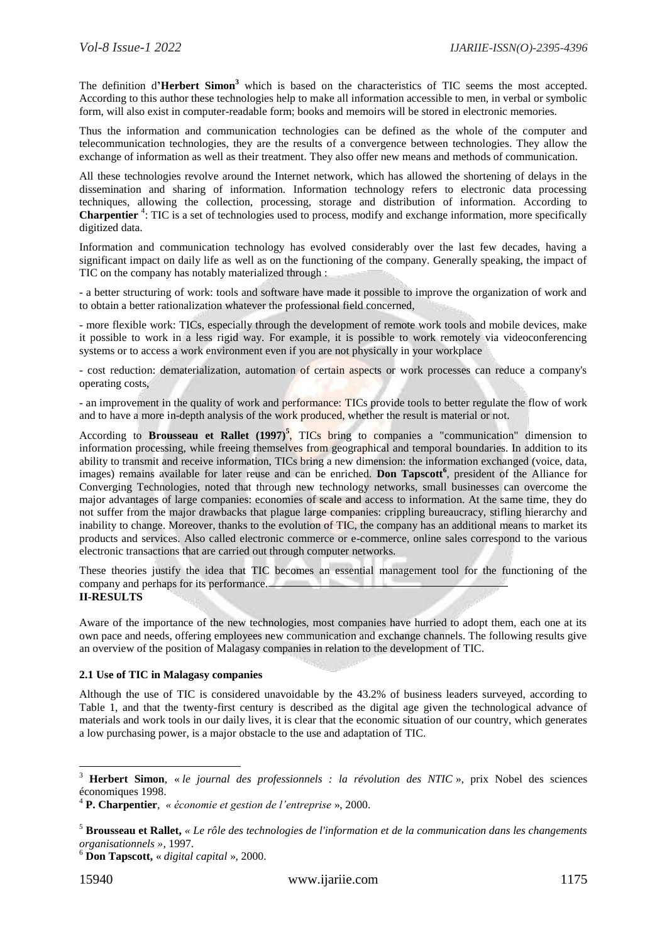The definition d**'Herbert Simon<sup>3</sup>** which is based on the characteristics of TIC seems the most accepted. According to this author these technologies help to make all information accessible to men, in verbal or symbolic form, will also exist in computer-readable form; books and memoirs will be stored in electronic memories.

Thus the information and communication technologies can be defined as the whole of the computer and telecommunication technologies, they are the results of a convergence between technologies. They allow the exchange of information as well as their treatment. They also offer new means and methods of communication.

All these technologies revolve around the Internet network, which has allowed the shortening of delays in the dissemination and sharing of information. Information technology refers to electronic data processing techniques, allowing the collection, processing, storage and distribution of information. According to **Charpentier** <sup>4</sup> : TIC is a set of technologies used to process, modify and exchange information, more specifically digitized data.

Information and communication technology has evolved considerably over the last few decades, having a significant impact on daily life as well as on the functioning of the company. Generally speaking, the impact of TIC on the company has notably materialized through :

- a better structuring of work: tools and software have made it possible to improve the organization of work and to obtain a better rationalization whatever the professional field concerned,

- more flexible work: TICs, especially through the development of remote work tools and mobile devices, make it possible to work in a less rigid way. For example, it is possible to work remotely via videoconferencing systems or to access a work environment even if you are not physically in your workplace

- cost reduction: dematerialization, automation of certain aspects or work processes can reduce a company's operating costs,

- an improvement in the quality of work and performance: TICs provide tools to better regulate the flow of work and to have a more in-depth analysis of the work produced, whether the result is material or not.

According to **Brousseau et Rallet** (1997)<sup>5</sup>, TICs bring to companies a "communication" dimension to information processing, while freeing themselves from geographical and temporal boundaries. In addition to its ability to transmit and receive information, TICs bring a new dimension: the information exchanged (voice, data, images) remains available for later reuse and can be enriched. **Don Tapscott<sup>6</sup>** , president of the Alliance for Converging Technologies, noted that through new technology networks, small businesses can overcome the major advantages of large companies: economies of scale and access to information. At the same time, they do not suffer from the major drawbacks that plague large companies: crippling bureaucracy, stifling hierarchy and inability to change. Moreover, thanks to the evolution of TIC, the company has an additional means to market its products and services. Also called electronic commerce or e-commerce, online sales correspond to the various electronic transactions that are carried out through computer networks.

These theories justify the idea that TIC becomes an essential management tool for the functioning of the company and perhaps for its performance.

# **II-RESULTS**

Aware of the importance of the new technologies, most companies have hurried to adopt them, each one at its own pace and needs, offering employees new communication and exchange channels. The following results give an overview of the position of Malagasy companies in relation to the development of TIC.

## **2.1 Use of TIC in Malagasy companies**

Although the use of TIC is considered unavoidable by the 43.2% of business leaders surveyed, according to Table 1, and that the twenty-first century is described as the digital age given the technological advance of materials and work tools in our daily lives, it is clear that the economic situation of our country, which generates a low purchasing power, is a major obstacle to the use and adaptation of TIC.

1

<sup>3</sup> **Herbert Simon**, « *le journal des professionnels : la révolution des NTIC* », prix Nobel des sciences économiques 1998.

<sup>4</sup> **P. Charpentier**, *« économie et gestion de l'entreprise* », 2000.

<sup>5</sup> **Brousseau et Rallet,** *« Le rôle des technologies de l'information et de la communication dans les changements organisationnels »*, 1997.

<sup>6</sup> **Don Tapscott,** « *digital capital* », 2000.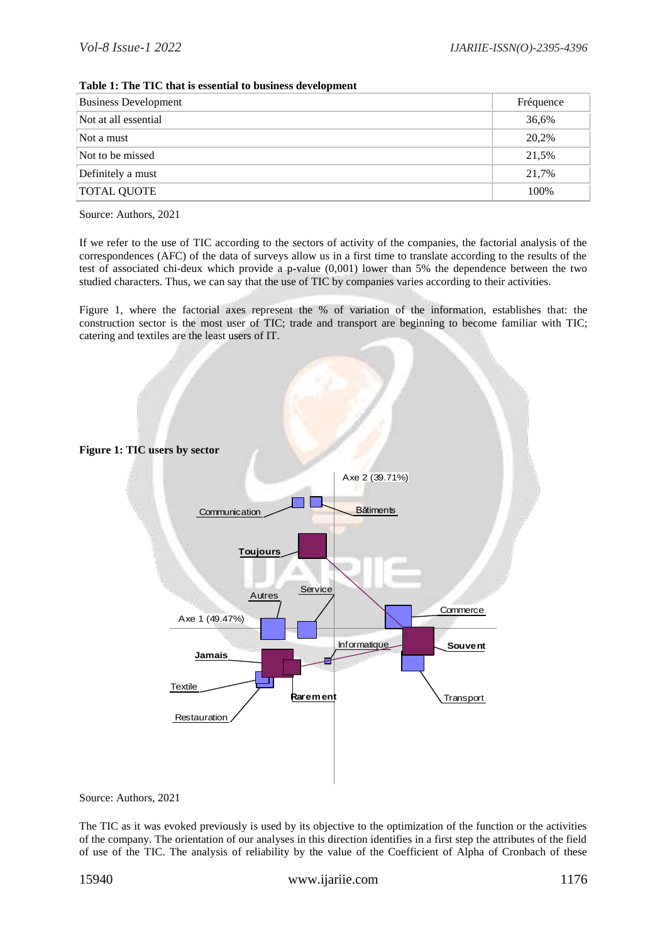| <b>Business Development</b> | Fréquence |
|-----------------------------|-----------|
| Not at all essential        | 36,6%     |
| Not a must                  | 20,2%     |
| Not to be missed            | 21,5%     |
| Definitely a must           | 21.7%     |
| <b>TOTAL QUOTE</b>          | 100%      |

#### **Table 1: The TIC that is essential to business development**

Source: Authors, 2021

If we refer to the use of TIC according to the sectors of activity of the companies, the factorial analysis of the correspondences (AFC) of the data of surveys allow us in a first time to translate according to the results of the test of associated chi-deux which provide a p-value (0,001) lower than 5% the dependence between the two studied characters. Thus, we can say that the use of TIC by companies varies according to their activities.

Figure 1, where the factorial axes represent the % of variation of the information, establishes that: the construction sector is the most user of TIC; trade and transport are beginning to become familiar with TIC; catering and textiles are the least users of IT.



Source: Authors, 2021

The TIC as it was evoked previously is used by its objective to the optimization of the function or the activities of the company. The orientation of our analyses in this direction identifies in a first step the attributes of the field of use of the TIC. The analysis of reliability by the value of the Coefficient of Alpha of Cronbach of these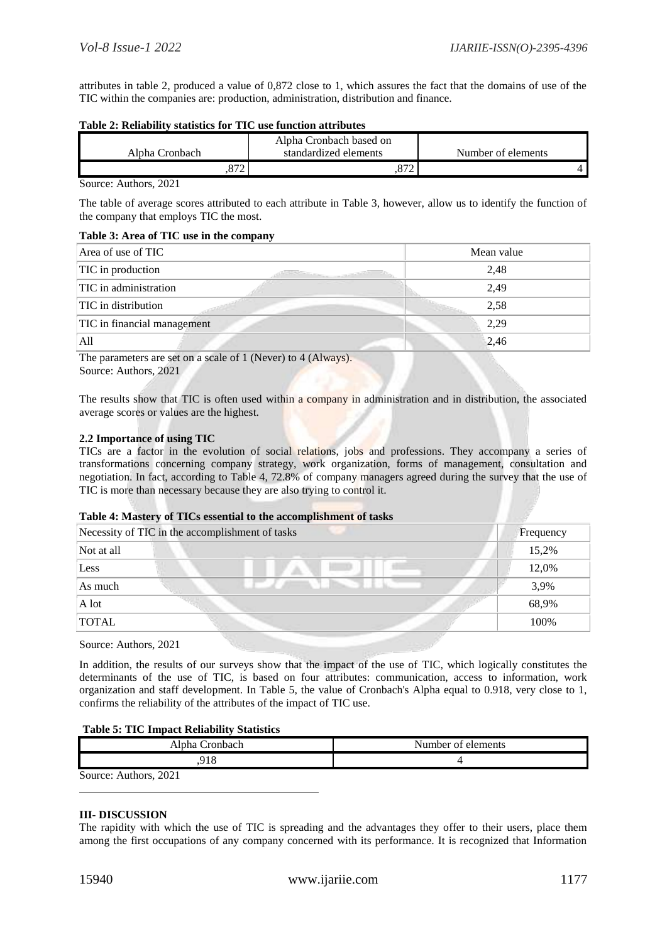attributes in table 2, produced a value of 0,872 close to 1, which assures the fact that the domains of use of the TIC within the companies are: production, administration, distribution and finance.

#### **Table 2: Reliability statistics for TIC use function attributes**

|                                 | Alpha Cronbach based on |                    |
|---------------------------------|-------------------------|--------------------|
| Alpha Cronbach                  | standardized elements   | Number of elements |
| ، ن<br>$\overline{\phantom{a}}$ | $07^{\circ}$<br>.o / 2  |                    |

Source: Authors, 2021

The table of average scores attributed to each attribute in Table 3, however, allow us to identify the function of the company that employs TIC the most.

## **Table 3: Area of TIC use in the company**

| Area of use of TIC          | Mean value |
|-----------------------------|------------|
| TIC in production           | 2,48       |
| TIC in administration       | 2,49       |
| TIC in distribution         | 2,58       |
| TIC in financial management | 2,29       |
| All                         | 2,46       |

The parameters are set on a scale of 1 (Never) to 4 (Always). Source: Authors, 2021

The results show that TIC is often used within a company in administration and in distribution, the associated average scores or values are the highest.

## **2.2 Importance of using TIC**

TICs are a factor in the evolution of social relations, jobs and professions. They accompany a series of transformations concerning company strategy, work organization, forms of management, consultation and negotiation. In fact, according to Table 4, 72.8% of company managers agreed during the survey that the use of TIC is more than necessary because they are also trying to control it.

## **Table 4: Mastery of TICs essential to the accomplishment of tasks**

|              | Necessity of TIC in the accomplishment of tasks | Frequency |
|--------------|-------------------------------------------------|-----------|
| Not at all   |                                                 | 15,2%     |
| Less         |                                                 | 12,0%     |
| As much      |                                                 | 3,9%      |
| A lot        |                                                 | 68,9%     |
| <b>TOTAL</b> |                                                 | 100%      |
|              |                                                 |           |

Source: Authors, 2021

In addition, the results of our surveys show that the impact of the use of TIC, which logically constitutes the determinants of the use of TIC, is based on four attributes: communication, access to information, work organization and staff development. In Table 5, the value of Cronbach's Alpha equal to 0.918, very close to 1, confirms the reliability of the attributes of the impact of TIC use.

## **Table 5: TIC Impact Reliability Statistics**

| Alpha Cronbach-       | Number of elements |
|-----------------------|--------------------|
| Q 1 9                 |                    |
| Source: Authors, 2021 |                    |

## **III- DISCUSSION**

The rapidity with which the use of TIC is spreading and the advantages they offer to their users, place them among the first occupations of any company concerned with its performance. It is recognized that Information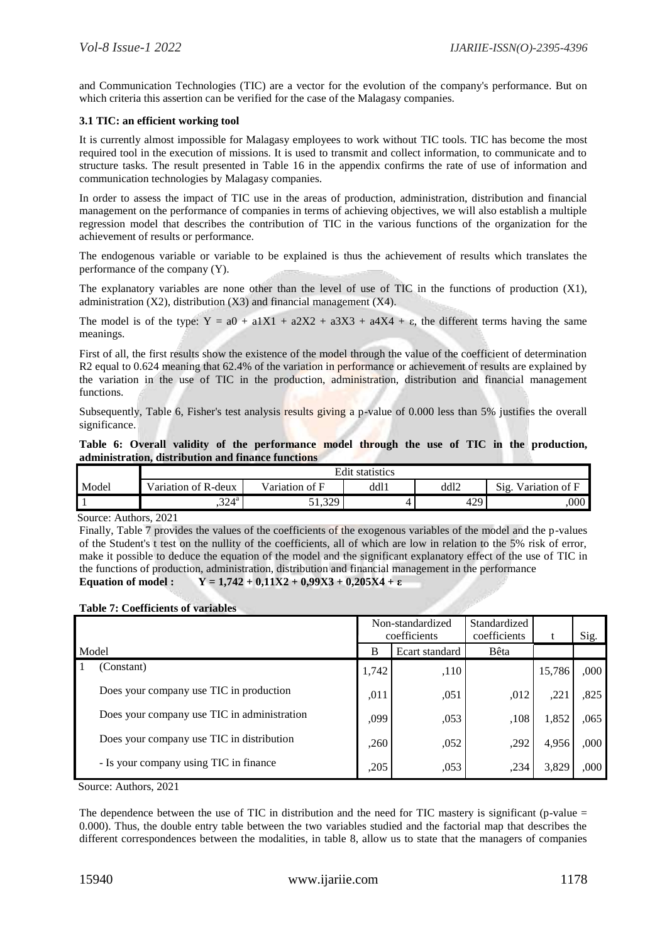and Communication Technologies (TIC) are a vector for the evolution of the company's performance. But on which criteria this assertion can be verified for the case of the Malagasy companies.

## **3.1 TIC: an efficient working tool**

It is currently almost impossible for Malagasy employees to work without TIC tools. TIC has become the most required tool in the execution of missions. It is used to transmit and collect information, to communicate and to structure tasks. The result presented in Table 16 in the appendix confirms the rate of use of information and communication technologies by Malagasy companies.

In order to assess the impact of TIC use in the areas of production, administration, distribution and financial management on the performance of companies in terms of achieving objectives, we will also establish a multiple regression model that describes the contribution of TIC in the various functions of the organization for the achievement of results or performance.

The endogenous variable or variable to be explained is thus the achievement of results which translates the performance of the company (Y).

The explanatory variables are none other than the level of use of TIC in the functions of production (X1), administration (X2), distribution (X3) and financial management (X4).

The model is of the type:  $Y = a0 + a1X1 + a2X2 + a3X3 + a4X4 + \epsilon$ , the different terms having the same meanings.

First of all, the first results show the existence of the model through the value of the coefficient of determination R2 equal to 0.624 meaning that 62.4% of the variation in performance or achievement of results are explained by the variation in the use of TIC in the production, administration, distribution and financial management functions.

Subsequently, Table 6, Fisher's test analysis results giving a p-value of 0.000 less than 5% justifies the overall significance.

## Table 6: Overall validity of the performance model through the use of TIC in the production, **administration, distribution and finance functions**

|       | <b>Edit statistics</b> |                |      |      |                        |  |
|-------|------------------------|----------------|------|------|------------------------|--|
| Model | Variation of R-deux    | Variation of F | dd11 | ddl2 | Sig.<br>Variation of F |  |
|       | .324 <sup>a</sup>      | 329.<br>−5∠3 ل |      | 429  | 000,                   |  |

Source: Authors, 2021

Finally, Table 7 provides the values of the coefficients of the exogenous variables of the model and the p-values of the Student's t test on the nullity of the coefficients, all of which are low in relation to the 5% risk of error, make it possible to deduce the equation of the model and the significant explanatory effect of the use of TIC in the functions of production, administration, distribution and financial management in the performance **Equation of model :** Y = 1,742 + 0,11X2 + 0,99X3 + 0,205X4 + ε

## **Table 7: Coefficients of variables**

|                                             | Non-standardized<br>coefficients |      | Standardized<br>coefficients |        | Sig. |
|---------------------------------------------|----------------------------------|------|------------------------------|--------|------|
| Model                                       | B<br>Ecart standard              |      | Bêta                         |        |      |
| (Constant)                                  | 1,742                            | ,110 |                              | 15,786 | ,000 |
| Does your company use TIC in production     | ,011                             | ,051 | ,012                         | .22    | ,825 |
| Does your company use TIC in administration | ,099                             | ,053 | ,108                         | 1,852  | ,065 |
| Does your company use TIC in distribution   | ,260                             | ,052 | ,292                         | 4,956  | ,000 |
| - Is your company using TIC in finance      | ,205                             | ,053 | ,234                         | 3,829  | ,000 |

Source: Authors, 2021

The dependence between the use of TIC in distribution and the need for TIC mastery is significant (p-value  $=$ 0.000). Thus, the double entry table between the two variables studied and the factorial map that describes the different correspondences between the modalities, in table 8, allow us to state that the managers of companies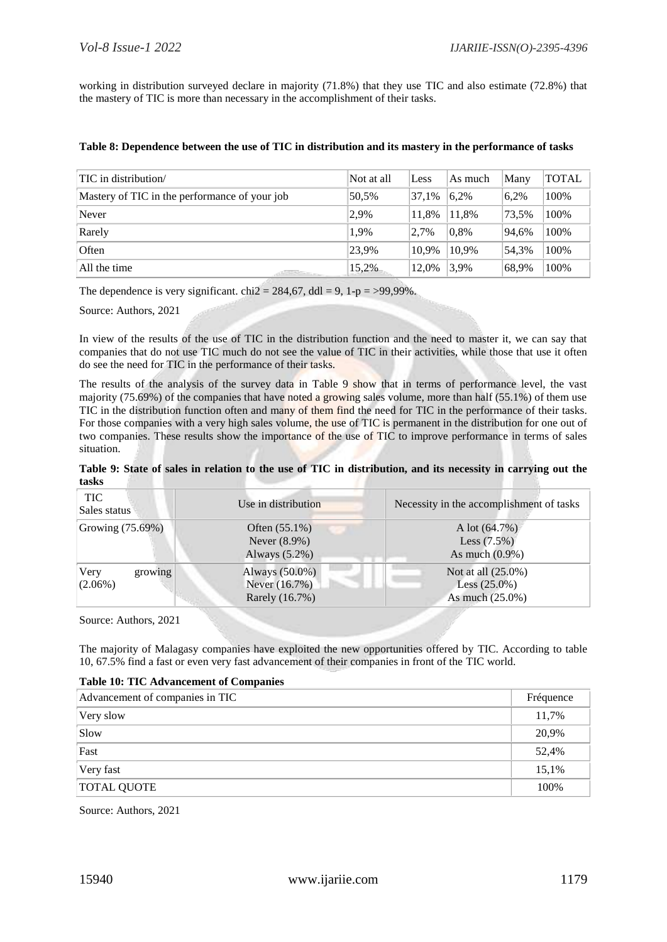working in distribution surveyed declare in majority (71.8%) that they use TIC and also estimate (72.8%) that the mastery of TIC is more than necessary in the accomplishment of their tasks.

|  |  |  | Table 8: Dependence between the use of TIC in distribution and its mastery in the performance of tasks |
|--|--|--|--------------------------------------------------------------------------------------------------------|
|--|--|--|--------------------------------------------------------------------------------------------------------|

| TIC in distribution/                          | Not at all | Less  | As much | Many  | <b>TOTAL</b> |
|-----------------------------------------------|------------|-------|---------|-------|--------------|
| Mastery of TIC in the performance of your job | 50.5%      | 37.1% | 6.2%    | 6,2%  | 100%         |
| Never                                         | 2,9%       | 11.8% | 11.8%   | 73.5% | 100%         |
| Rarely                                        | 1.9%       | 2,7%  | 0.8%    | 94.6% | 100%         |
| Often                                         | 23,9%      | 10.9% | 10.9%   | 54.3% | 100%         |
| All the time<br><b>STARTS AND ARTICLES</b>    | 15,2%      | 12,0% | 3,9%    | 68,9% | 100%         |

The dependence is very significant. chi2 = 284,67, ddl = 9, 1-p = >99,99%.

Source: Authors, 2021

In view of the results of the use of TIC in the distribution function and the need to master it, we can say that companies that do not use TIC much do not see the value of TIC in their activities, while those that use it often do see the need for TIC in the performance of their tasks.

The results of the analysis of the survey data in Table 9 show that in terms of performance level, the vast majority (75.69%) of the companies that have noted a growing sales volume, more than half (55.1%) of them use TIC in the distribution function often and many of them find the need for TIC in the performance of their tasks. For those companies with a very high sales volume, the use of TIC is permanent in the distribution for one out of two companies. These results show the importance of the use of TIC to improve performance in terms of sales situation.

| Table 9: State of sales in relation to the use of TIC in distribution, and its necessity in carrying out the |  |  |
|--------------------------------------------------------------------------------------------------------------|--|--|
| tasks                                                                                                        |  |  |

| <b>TIC</b><br>Sales status    | Use in distribution                                     | Necessity in the accomplishment of tasks                 |
|-------------------------------|---------------------------------------------------------|----------------------------------------------------------|
| Growing (75.69%)              | Often $(55.1\%)$<br>Never $(8.9\%)$<br>Always $(5.2\%)$ | A lot $(64.7%)$<br>Less $(7.5%)$<br>As much $(0.9\%)$    |
| Very<br>growing<br>$(2.06\%)$ | Always $(50.0\%)$<br>Never (16.7%)<br>Rarely (16.7%)    | Not at all (25.0%)<br>Less $(25.0\%)$<br>As much (25.0%) |

Source: Authors, 2021

The majority of Malagasy companies have exploited the new opportunities offered by TIC. According to table 10, 67.5% find a fast or even very fast advancement of their companies in front of the TIC world.

## **Table 10: TIC Advancement of Companies**

| Advancement of companies in TIC | Fréquence |
|---------------------------------|-----------|
| Very slow                       | 11,7%     |
| Slow                            | 20,9%     |
| Fast                            | 52,4%     |
| Very fast                       | 15,1%     |
| <b>TOTAL QUOTE</b>              | 100%      |

Source: Authors, 2021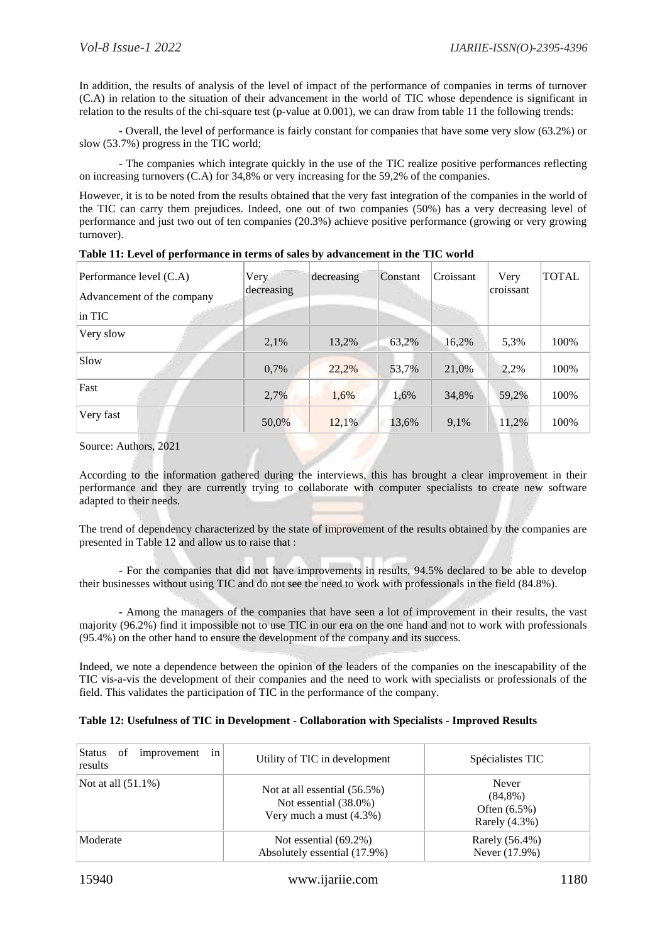In addition, the results of analysis of the level of impact of the performance of companies in terms of turnover (C.A) in relation to the situation of their advancement in the world of TIC whose dependence is significant in relation to the results of the chi-square test (p-value at 0.001), we can draw from table 11 the following trends:

- Overall, the level of performance is fairly constant for companies that have some very slow (63.2%) or slow (53.7%) progress in the TIC world;

- The companies which integrate quickly in the use of the TIC realize positive performances reflecting on increasing turnovers (C.A) for 34,8% or very increasing for the 59,2% of the companies.

However, it is to be noted from the results obtained that the very fast integration of the companies in the world of the TIC can carry them prejudices. Indeed, one out of two companies (50%) has a very decreasing level of performance and just two out of ten companies (20.3%) achieve positive performance (growing or very growing turnover).

| Performance level (C.A)<br>Advancement of the company<br>in TIC | Very<br>decreasing | decreasing | Constant | Croissant | Very<br>croissant | <b>TOTAL</b> |
|-----------------------------------------------------------------|--------------------|------------|----------|-----------|-------------------|--------------|
| Very slow                                                       | 2,1%               | 13,2%      | 63,2%    | 16,2%     | 5,3%              | 100%         |
| Slow                                                            | 0,7%               | 22,2%      | 53,7%    | 21,0%     | 2,2%              | 100%         |
| Fast                                                            | 2,7%               | 1,6%       | 1,6%     | 34,8%     | 59,2%             | 100%         |
| Very fast                                                       | 50,0%              | 12,1%      | 13,6%    | 9.1%      | 11,2%             | 100%         |

**Table 11: Level of performance in terms of sales by advancement in the TIC world**

Source: Authors, 2021

According to the information gathered during the interviews, this has brought a clear improvement in their performance and they are currently trying to collaborate with computer specialists to create new software adapted to their needs.

The trend of dependency characterized by the state of improvement of the results obtained by the companies are presented in Table 12 and allow us to raise that :

- For the companies that did not have improvements in results, 94.5% declared to be able to develop their businesses without using TIC and do not see the need to work with professionals in the field (84.8%).

- Among the managers of the companies that have seen a lot of improvement in their results, the vast majority (96.2%) find it impossible not to use TIC in our era on the one hand and not to work with professionals (95.4%) on the other hand to ensure the development of the company and its success.

Indeed, we note a dependence between the opinion of the leaders of the companies on the inescapability of the TIC vis-a-vis the development of their companies and the need to work with specialists or professionals of the field. This validates the participation of TIC in the performance of the company.

| Status<br>improvement<br>of<br>in<br>results | Utility of TIC in development                                                       | Spécialistes TIC                                           |
|----------------------------------------------|-------------------------------------------------------------------------------------|------------------------------------------------------------|
| Not at all $(51.1\%)$                        | Not at all essential $(56.5\%)$<br>Not essential (38.0%)<br>Very much a must (4.3%) | Never<br>$(84,8\%)$<br>Often $(6.5\%)$<br>Rarely $(4.3\%)$ |
| Moderate                                     | Not essential $(69.2\%)$<br>Absolutely essential (17.9%)                            | Rarely (56.4%)<br>Never (17.9%)                            |

## **Table 12: Usefulness of TIC in Development - Collaboration with Specialists - Improved Results**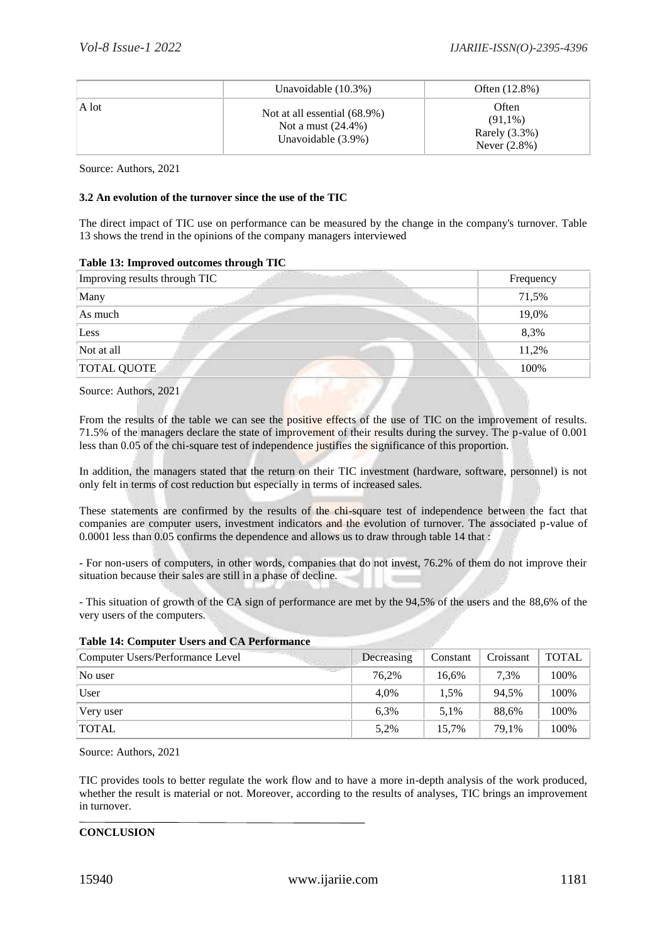|       | Unavoidable $(10.3\%)$                                                         | Often $(12.8%)$                                            |
|-------|--------------------------------------------------------------------------------|------------------------------------------------------------|
| A lot | Not at all essential (68.9%)<br>Not a must $(24.4\%)$<br>Unavoidable $(3.9\%)$ | Often<br>$(91,1\%)$<br>Rarely $(3.3\%)$<br>Never $(2.8\%)$ |

Source: Authors, 2021

## **3.2 An evolution of the turnover since the use of the TIC**

The direct impact of TIC use on performance can be measured by the change in the company's turnover. Table 13 shows the trend in the opinions of the company managers interviewed

## **Table 13: Improved outcomes through TIC**

| Improving results through TIC | Frequency |
|-------------------------------|-----------|
| Many                          | 71,5%     |
| As much                       | 19,0%     |
| Less                          | 8,3%      |
| Not at all                    | 11,2%     |
| <b>TOTAL QUOTE</b>            | 100%      |
|                               |           |

Source: Authors, 2021

From the results of the table we can see the positive effects of the use of TIC on the improvement of results. 71.5% of the managers declare the state of improvement of their results during the survey. The p-value of 0.001 less than 0.05 of the chi-square test of independence justifies the significance of this proportion.

In addition, the managers stated that the return on their TIC investment (hardware, software, personnel) is not only felt in terms of cost reduction but especially in terms of increased sales.

These statements are confirmed by the results of the chi-square test of independence between the fact that companies are computer users, investment indicators and the evolution of turnover. The associated p-value of 0.0001 less than 0.05 confirms the dependence and allows us to draw through table 14 that :

- For non-users of computers, in other words, companies that do not invest, 76.2% of them do not improve their situation because their sales are still in a phase of decline.

- This situation of growth of the CA sign of performance are met by the 94,5% of the users and the 88,6% of the very users of the computers.

| Computer Users/Performance Level | Decreasing | Constant | Croissant | <b>TOTAL</b> |
|----------------------------------|------------|----------|-----------|--------------|
| No user                          | 76.2%      | 16,6%    | 7.3%      | 100%         |
| User                             | 4.0%       | 1.5%     | 94.5%     | 100%         |
| Very user                        | 6.3%       | 5.1%     | 88.6%     | 100%         |
| <b>TOTAL</b>                     | 5,2%       | 15.7%    | 79.1%     | 100%         |

## **Table 14: Computer Users and CA Performance**

Source: Authors, 2021

TIC provides tools to better regulate the work flow and to have a more in-depth analysis of the work produced, whether the result is material or not. Moreover, according to the results of analyses, TIC brings an improvement in turnover.

## **CONCLUSION**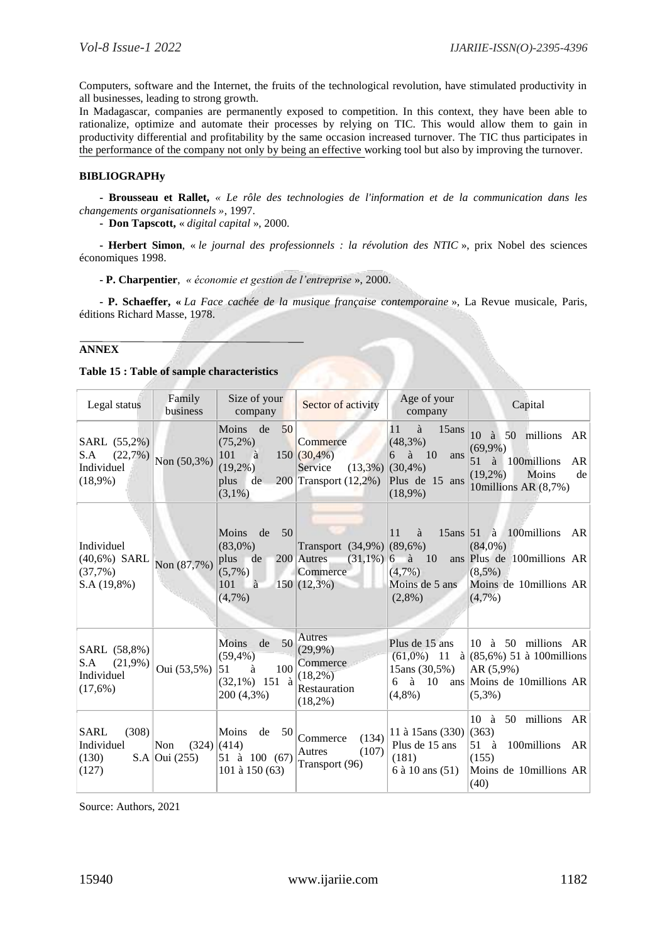Computers, software and the Internet, the fruits of the technological revolution, have stimulated productivity in all businesses, leading to strong growth.

In Madagascar, companies are permanently exposed to competition. In this context, they have been able to rationalize, optimize and automate their processes by relying on TIC. This would allow them to gain in productivity differential and profitability by the same occasion increased turnover. The TIC thus participates in the performance of the company not only by being an effective working tool but also by improving the turnover.

## **BIBLIOGRAPHy**

**- Brousseau et Rallet,** *« Le rôle des technologies de l'information et de la communication dans les changements organisationnels »*, 1997.

**- Don Tapscott,** « *digital capital* », 2000.

**- Herbert Simon**, « *le journal des professionnels : la révolution des NTIC* », prix Nobel des sciences économiques 1998.

**- P. Charpentier**, *« économie et gestion de l'entreprise* », 2000.

**- P. Schaeffer, «** *La Face cachée de la musique française contemporaine* », La Revue musicale, Paris, éditions Richard Masse, 1978.

## **ANNEX**

**Table 15 : Table of sample characteristics**

| Legal status                                               | Family<br>business                    | Size of your<br>company                                                              | Sector of activity                                                                       | Age of your<br>company                                                              | Capital                                                                                                                           |
|------------------------------------------------------------|---------------------------------------|--------------------------------------------------------------------------------------|------------------------------------------------------------------------------------------|-------------------------------------------------------------------------------------|-----------------------------------------------------------------------------------------------------------------------------------|
| SARL (55,2%)<br>S.A<br>(22,7%)<br>Individuel<br>$(18,9\%)$ | Non (50,3%)                           | 50<br>Moins de<br>$(75,2\%)$<br>101<br>à<br>$(19,2\%)$<br>plus<br>de<br>$(3,1\%)$    | Commerce<br>$150(30,4\%)$<br>Service<br>$(13,3\%)$ (30,4%)<br>$200$ Transport $(12,2\%)$ | à<br>11<br>15ans<br>$(48,3\%)$<br>$6$ à $10$<br>ans<br>Plus de 15 ans<br>$(18,9\%)$ | 10<br>à 50 millions<br>AR<br>$(69,9\%)$<br>51<br>à 100 millions<br><b>AR</b><br>$(19,2\%)$<br>Moins<br>de<br>10millions AR (8,7%) |
| Individuel<br>$(40,6%)$ SARL<br>(37,7%)<br>S.A(19,8%)      | Non (87,7%)                           | 50<br>Moins<br>de<br>$(83,0\%)$<br>plus<br>de<br>$(5,7\%)$<br>101<br>à<br>$(4,7\%)$  | Transport $(34,9\%)$ (89,6%)<br>200 Autres<br>Commerce<br>$150(12,3\%)$                  | à<br>11<br>$(31,1\%)$ 6 à 10<br>$(4,7\%)$<br>Moins de 5 ans<br>$(2,8\%)$            | $15ans \mid 51$ à 100 millions AR<br>$(84,0\%)$<br>ans Plus de 100 millions AR<br>$(8,5\%)$<br>Moins de 10millions AR<br>(4,7%    |
| SARL (58,8%)<br>$(21,9\%)$<br>S.A<br>Individuel<br>(17,6%) | Oui (53,5%)                           | 50<br>Moins<br>de<br>$(59, 4\%)$<br>100<br>51<br>à<br>$(32,1\%)$ 151 à<br>200 (4,3%) | Autres<br>$(29,9\%)$<br>Commerce<br>$(18,2\%)$<br>Restauration<br>$(18,2\%)$             | Plus de 15 ans<br>15ans (30,5%)<br>6a<br>- 10<br>$(4,8\%)$                          | 10 à 50 millions AR<br>$(61,0\%)$ 11 à (85,6%) 51 à 100 millions<br>AR (5,9%)<br>ans Moins de 10 millions AR<br>$(5.3\%)$         |
| <b>SARL</b><br>(308)<br>Individuel<br>(130)<br>(127)       | Non<br>(324)<br>S.A $\vert$ Oui (255) | Moins<br>50<br>de<br> (414)<br>51 à 100 $(67)$<br>101 à 150 (63)                     | (134)<br>Commerce<br>(107)<br>Autres<br>Transport (96)                                   | 11 à 15ans (330)<br>Plus de 15 ans<br>(181)<br>6 à 10 ans (51)                      | 10 à 50 millions AR<br>(363)<br>100millions AR<br>$51 \text{ a}$<br>(155)<br>Moins de 10millions AR<br>(40)                       |

Source: Authors, 2021